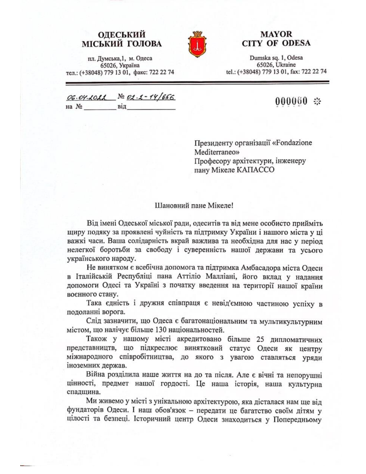## **ОДЕСЬКИЙ МІСЬКИЙ ГОЛОВА**



## **MAYOR CITY OF ODESA**

Dumska sq. 1, Odesa 65026, Ukraine tel.: (+38048) 779 13 01, fax: 722 22 74

пл. Думська, 1, м. Одеса 65026, Україна тел.: (+38048) 779 13 01, факс: 722 22 74

|                    | 06.04.2022 No 02.2-14/656 |
|--------------------|---------------------------|
| на $\mathcal{N}_2$ | віл                       |

000060  $\div$ 

Президенту організації «Fondazione Mediterraneo» Професору архітектури, інженеру пану Мікеле КАПАССО

## Шановний пане Мікеле!

Від імені Одеської міської ради, одеситів та від мене особисто прийміть щиру подяку за проявлені чуйність та підтримку України і нашого міста у ці важкі часи. Ваша солідарність вкрай важлива та необхідна для нас у період нелегкої боротьби за свободу і суверенність нашої держави та усього українського народу.

Не винятком є всебічна допомога та підтримка Амбасадора міста Одеси в Італійській Республіці пана Аттіліо Малліані, його вклад у надання допомоги Одесі та Україні з початку введення на території нашої країни воєнного стану.

Така єдність і дружня співпраця є невід'ємною частиною успіху в подоланні ворога.

Слід зазначити, що Одеса є багатонаціональним та мультикультурним містом, що налічує більше 130 національностей.

Також у нашому місті акредитовано більше 25 дипломатичних представництв, що підкреслює винятковий статус Одеси як центру міжнародного співробітництва, до якого з увагою ставляться уряди іноземних держав.

Війна розділила наше життя на до та після. Але є вічні та непорушні цінності, предмет нашої гордості. Це наша історія, наша культурна спадщина.

Ми живемо у місті з унікальною архітектурою, яка дісталася нам ще від фундаторів Одеси. І наш обов'язок - передати це багатство своїм дітям у цілості та безпеці. Історичний центр Одеси знаходиться у Попередньому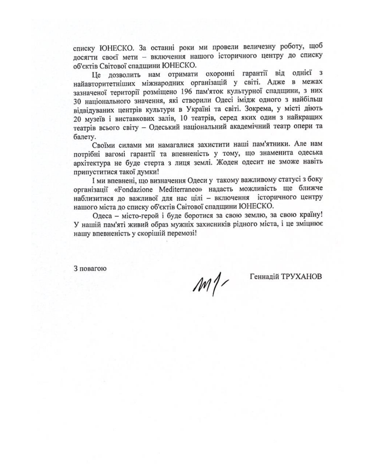списку ЮНЕСКО. За останні роки ми провели величезну роботу, щоб досягти своєї мети - включення нашого історичного центру до списку об'єктів Світової спадщини ЮНЕСКО.

Це дозволить нам отримати охоронні гарантії від однієї з найавторитетніших міжнародних організацій у світі. Адже в межах зазначеної території розміщено 196 пам'яток культурної спадщини, з них 30 національного значення, які створили Одесі імідж одного з найбільш відвідуваних центрів культури в Україні та світі. Зокрема, у місті діють 20 музеїв і виставкових залів, 10 театрів, серед яких один з найкращих театрів всього світу - Одеський національний академічний театр опери та балету.

Своїми силами ми намагалися захистити наші пам'ятники. Але нам потрібні вагомі гарантії та впевненість у тому, що знаменита одеська архітектура не буде стерта з лиця землі. Жоден одесит не зможе навіть припуститися такої думки!

І ми впевнені, що визначення Одеси у такому важливому статусі з боку організації «Fondazione Mediterraneo» надасть можливість ще ближче наблизитися до важливої для нас цілі - включення історичного центру нашого міста до списку об'єктів Світової спадщини ЮНЕСКО.

Одеса - місто-герой і буде боротися за свою землю, за свою країну! У нашій пам'яті живий образ мужніх захисників рідного міста, і це зміцнює нашу впевненість у скорішій перемозі!

3 повагою

 $M/$ 

Геннадій ТРУХАНОВ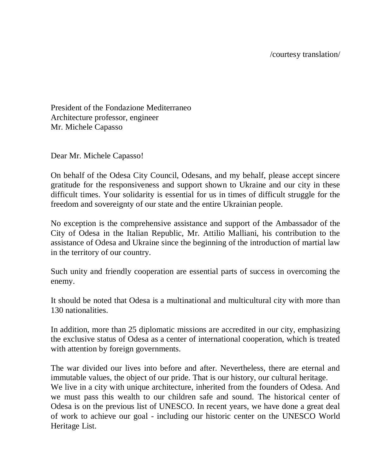President of the Fondazione Mediterraneo Architecture professor, engineer Mr. Michele Capasso

Dear Mr. Michele Capasso!

On behalf of the Odesa City Council, Odesans, and my behalf, please accept sincere gratitude for the responsiveness and support shown to Ukraine and our city in these difficult times. Your solidarity is essential for us in times of difficult struggle for the freedom and sovereignty of our state and the entire Ukrainian people.

No exception is the comprehensive assistance and support of the Ambassador of the City of Odesa in the Italian Republic, Mr. Attilio Malliani, his contribution to the assistance of Odesa and Ukraine since the beginning of the introduction of martial law in the territory of our country.

Such unity and friendly cooperation are essential parts of success in overcoming the enemy.

It should be noted that Odesa is a multinational and multicultural city with more than 130 nationalities.

In addition, more than 25 diplomatic missions are accredited in our city, emphasizing the exclusive status of Odesa as a center of international cooperation, which is treated with attention by foreign governments.

The war divided our lives into before and after. Nevertheless, there are eternal and immutable values, the object of our pride. That is our history, our cultural heritage. We live in a city with unique architecture, inherited from the founders of Odesa. And we must pass this wealth to our children safe and sound. The historical center of Odesa is on the previous list of UNESCO. In recent years, we have done a great deal of work to achieve our goal - including our historic center on the UNESCO World Heritage List.